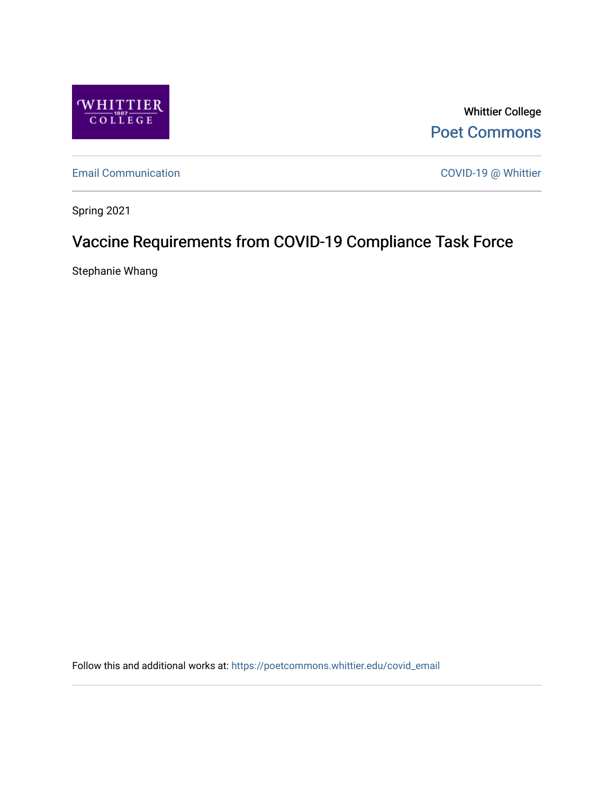

Whittier College [Poet Commons](https://poetcommons.whittier.edu/) 

[Email Communication](https://poetcommons.whittier.edu/covid_email) **COVID-19 @ Whittier** 

Spring 2021

# Vaccine Requirements from COVID-19 Compliance Task Force

Stephanie Whang

Follow this and additional works at: [https://poetcommons.whittier.edu/covid\\_email](https://poetcommons.whittier.edu/covid_email?utm_source=poetcommons.whittier.edu%2Fcovid_email%2F1&utm_medium=PDF&utm_campaign=PDFCoverPages)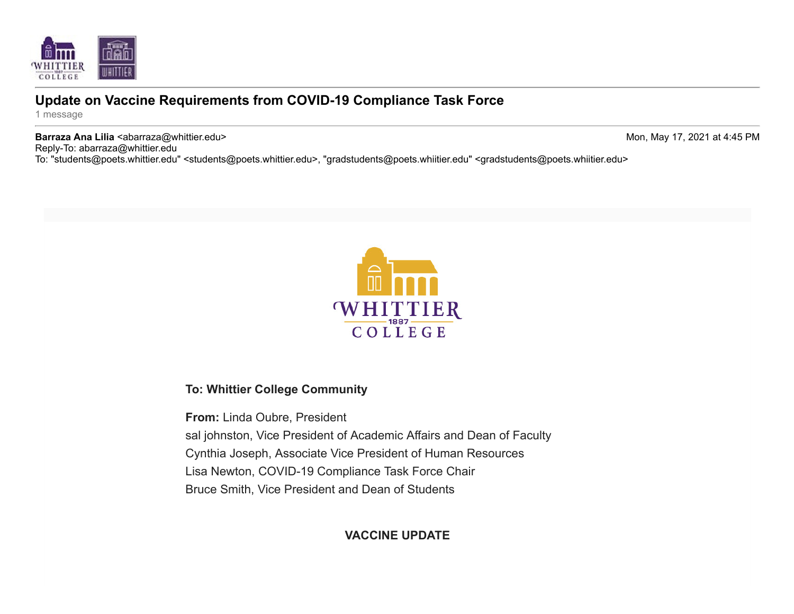

# **Update on Vaccine Requirements from COVID-19 Compliance Task Force**

1 message

**Barraza Ana Lilia <**abarraza@whittier.edu> Mon, May 17, 2021 at 4:45 PM Reply-To: abarraza@whittier.edu

To: "students@poets.whittier.edu" <students@poets.whittier.edu>, "gradstudents@poets.whiitier.edu" <gradstudents@poets.whiitier.edu>



### **To: Whittier College Community**

**From:** Linda Oubre, President sal johnston, Vice President of Academic Affairs and Dean of Faculty Cynthia Joseph, Associate Vice President of Human Resources Lisa Newton, COVID-19 Compliance Task Force Chair Bruce Smith, Vice President and Dean of Students

### **VACCINE UPDATE**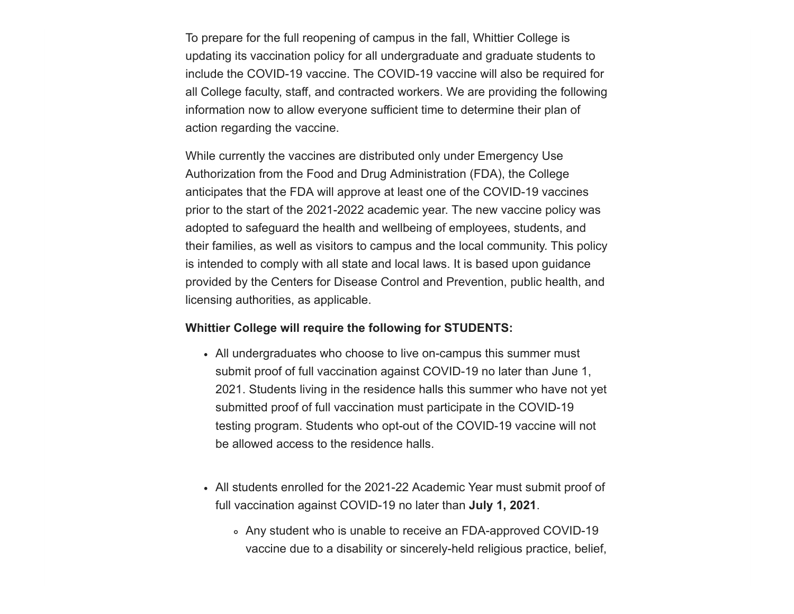To prepare for the full reopening of campus in the fall, Whittier College is updating its vaccination policy for all undergraduate and graduate students to include the COVID-19 vaccine. The COVID-19 vaccine will also be required for all College faculty, staff, and contracted workers. We are providing the following information now to allow everyone sufficient time to determine their plan of action regarding the vaccine.

While currently the vaccines are distributed only under Emergency Use Authorization from the Food and Drug Administration (FDA), the College anticipates that the FDA will approve at least one of the COVID-19 vaccines prior to the start of the 2021-2022 academic year. The new vaccine policy was adopted to safeguard the health and wellbeing of employees, students, and their families, as well as visitors to campus and the local community. This policy is intended to comply with all state and local laws. It is based upon guidance provided by the Centers for Disease Control and Prevention, public health, and licensing authorities, as applicable.

#### **Whittier College will require the following for STUDENTS:**

- All undergraduates who choose to live on-campus this summer must submit proof of full vaccination against COVID-19 no later than June 1, 2021. Students living in the residence halls this summer who have not yet submitted proof of full vaccination must participate in the COVID-19 testing program. Students who opt-out of the COVID-19 vaccine will not be allowed access to the residence halls.
- All students enrolled for the 2021-22 Academic Year must submit proof of full vaccination against COVID-19 no later than **July 1, 2021**.
	- Any student who is unable to receive an FDA-approved COVID-19 vaccine due to a disability or sincerely-held religious practice, belief,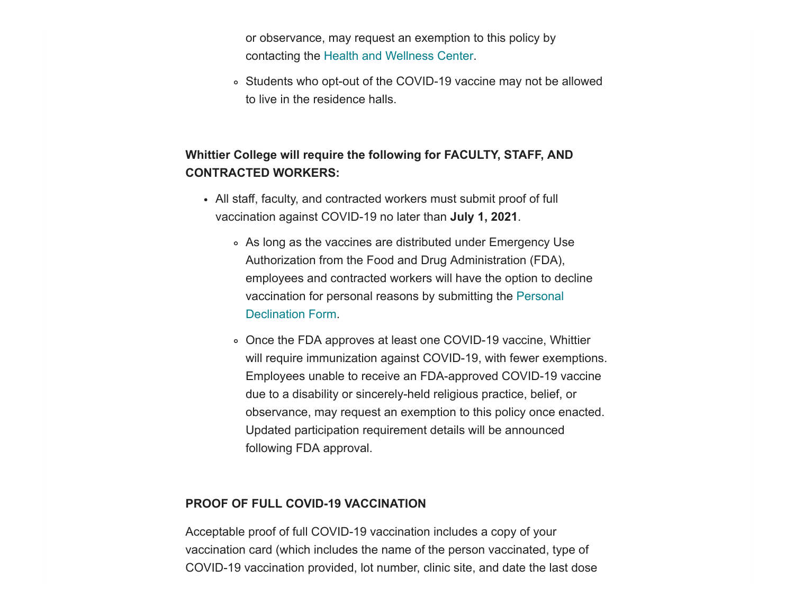or observance, may request an exemption to this policy by contacting the [Health and Wellness Center](mailto:healthservices@whittier.edu?subject=COVID-19%20Vaccine).

Students who opt-out of the COVID-19 vaccine may not be allowed to live in the residence halls.

## **Whittier College will require the following for FACULTY, STAFF, AND CONTRACTED WORKERS:**

- All staff, faculty, and contracted workers must submit proof of full vaccination against COVID-19 no later than **July 1, 2021**.
	- As long as the vaccines are distributed under Emergency Use Authorization from the Food and Drug Administration (FDA), employees and contracted workers will have the option to decline [vaccination for personal reasons by submitting the Personal](https://whittier.us3.list-manage.com/track/click?u=fbb7a4995b1996e279635fe61&id=287b0d2186&e=c9ea901e57) Declination Form.
	- Once the FDA approves at least one COVID-19 vaccine, Whittier will require immunization against COVID-19, with fewer exemptions. Employees unable to receive an FDA-approved COVID-19 vaccine due to a disability or sincerely-held religious practice, belief, or observance, may request an exemption to this policy once enacted. Updated participation requirement details will be announced following FDA approval.

#### **PROOF OF FULL COVID-19 VACCINATION**

Acceptable proof of full COVID-19 vaccination includes a copy of your vaccination card (which includes the name of the person vaccinated, type of COVID-19 vaccination provided, lot number, clinic site, and date the last dose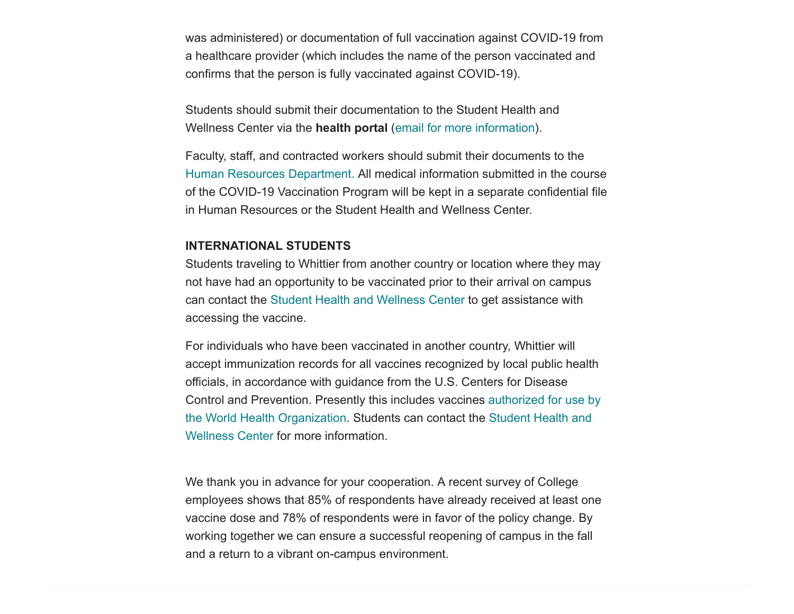was administered) or documentation of full vaccination against COVID-19 from a healthcare provider (which includes the name of the person vaccinated and confirms that the person is fully vaccinated against COVID-19).

Students should submit their documentation to the Student Health and Wellness Center via the **health portal** [\(email for more information\)](mailto:healthservices@whittier.edu).

Faculty, staff, and contracted workers should submit their documents to the [Human Resources Department.](mailto:whittierhr@whittier.edu?subject=COVID-19%20Vaccine) All medical information submitted in the course of the COVID-19 Vaccination Program will be kept in a separate confidential file in Human Resources or the Student Health and Wellness Center.

#### **INTERNATIONAL STUDENTS**

Students traveling to Whittier from another country or location where they may not have had an opportunity to be vaccinated prior to their arrival on campus can contact the [Student Health and Wellness Center t](mailto:healthservices@whittier.edu)o get assistance with accessing the vaccine.

For individuals who have been vaccinated in another country, Whittier will accept immunization records for all vaccines recognized by local public health officials, in accordance with guidance from the U.S. Centers for Disease [Control and Prevention. Presently this includes vaccines authorized for use by](https://whittier.us3.list-manage.com/track/click?u=fbb7a4995b1996e279635fe61&id=5f9c5b14d3&e=c9ea901e57) [the World Health Organization. Students can contact the Student Health and](mailto:healthservices@whittier.edu) Wellness Center for more information.

We thank you in advance for your cooperation. A recent survey of College employees shows that 85% of respondents have already received at least one vaccine dose and 78% of respondents were in favor of the policy change. By working together we can ensure a successful reopening of campus in the fall and a return to a vibrant on-campus environment.